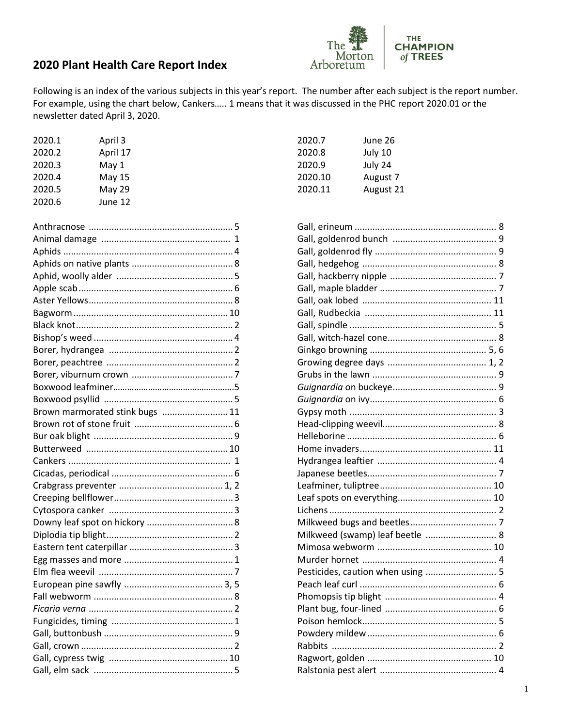

## 2020 Plant Health Care Report Index

Following is an index of the various subjects in this year's report. The number after each subject is the report number. For example, using the chart below, Cankers..... 1 means that it was discussed in the PHC report 2020.01 or the newsletter dated April 3, 2020.

| 2020.1 | April 3       |
|--------|---------------|
| 2020.2 | April 17      |
| 2020.3 | May 1         |
| 2020.4 | May 15        |
| 2020.5 | <b>May 29</b> |
| 2020.6 | June 12       |

| Brown marmorated stink bugs  11 |  |
|---------------------------------|--|
|                                 |  |
|                                 |  |
|                                 |  |
|                                 |  |
|                                 |  |
|                                 |  |
|                                 |  |
|                                 |  |
|                                 |  |
|                                 |  |
|                                 |  |
|                                 |  |
|                                 |  |
|                                 |  |
|                                 |  |
|                                 |  |
|                                 |  |
|                                 |  |
|                                 |  |
|                                 |  |
|                                 |  |

| June 26   |
|-----------|
| July 10   |
| July 24   |
| August 7  |
| August 21 |
|           |

| Milkweed (swamp) leaf beetle  8   |
|-----------------------------------|
|                                   |
|                                   |
| Pesticides, caution when using  5 |
|                                   |
|                                   |
|                                   |
|                                   |
|                                   |
|                                   |
|                                   |
|                                   |